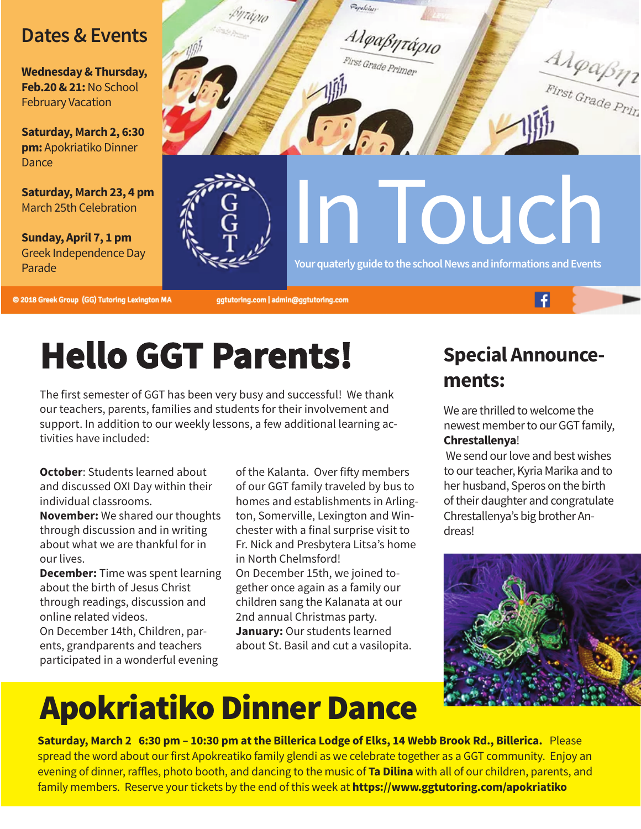### **Dates&Events**

**Wednesday&Thursday, Feb.20&21:**No School February Vacation

**Saturday, March 2, 6:30 pm:** Apokriatiko Dinner **Dance** 

**Saturday, March 23, 4 pm** March 25th Celebration

**Sunday, April 7, 1 pm** Greek Independence Day Parade

Population

Αλφαβητάριο

Pirst Grade Primer

 $D_{\alpha}$ 

In Touch

Your quaterly guide to the school News and informations and Events

@ 2018 Greek Group (GG) Tutoring Lexington MA

ggtutoring.com | admin@ggtutoring.com

# **Hello GGT Parents!**

The first semester of GGT has been very busy and successful! We thank our teachers, parents, families and students for their involvement and support. In addition to our weekly lessons, a few additional learning activities have included:

**October**: Students learned about and discussed OXI Day within their individual classrooms.

**November:** We shared our thoughts through discussion and in writing about what we are thankful for in our lives.

**December:** Time was spent learning about the birth of Jesus Christ through readings, discussion and online related videos.

On December 14th, Children, parents, grandparents and teachers participated in a wonderful evening

of the Kalanta. Over fifty members of our GGT family traveled by bus to homes and establishments in Arlington, Somerville, Lexington and Winchester with a final surprise visit to Fr. Nick and Presbytera Litsa's home in North Chelmsford! On December 15th, we joined together once again as a family our children sang the Kalanata at our 2nd annual Christmas party. **January:** Our students learned about St. Basil and cut a vasilopita.

### **Special Announcements:**

 $\overline{f}$ 

AlgaBn1

We are thrilled to welcome the newest member to our GGT family, **Chrestallenya**!

We send our love and best wishes to our teacher, Kyria Marika and to her husband, Speros on the birth of their daughter and congratulate Chrestallenya's big brother Andreas!



# **Apokriatiko Dinner Dance**

Saturday, March 2 6:30 pm - 10:30 pm at the Billerica Lodge of Elks, 14 Webb Brook Rd., Billerica. Please spread the word about our first Apokreatiko family glendi as we celebrate together as a GGT community. Enjoy an evening of dinner, raffles, photo booth, and dancing to the music of **Ta Dilina** with all of our children, parents, and family members. Reserve your tickets by the end of this week at **<https://www.ggtutoring.com/apokriatiko>**